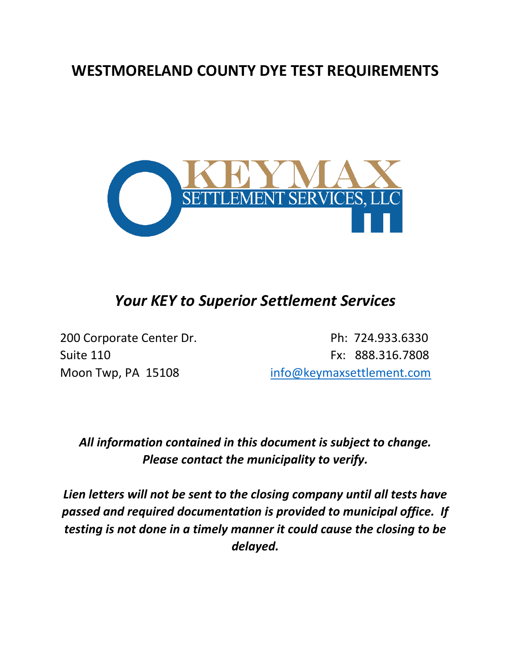## **WESTMORELAND COUNTY DYE TEST REQUIREMENTS**



## *Your KEY to Superior Settlement Services*

200 Corporate Center Dr. **Ph: 724.933.6330** Suite 110 **Fx: 888.316.7808** Moon Twp, PA 15108 [info@keymaxsettlement.com](mailto:info@keymaxsettlement.com)

## *All information contained in this document is subject to change. Please contact the municipality to verify.*

*Lien letters will not be sent to the closing company until all tests have passed and required documentation is provided to municipal office. If testing is not done in a timely manner it could cause the closing to be delayed.*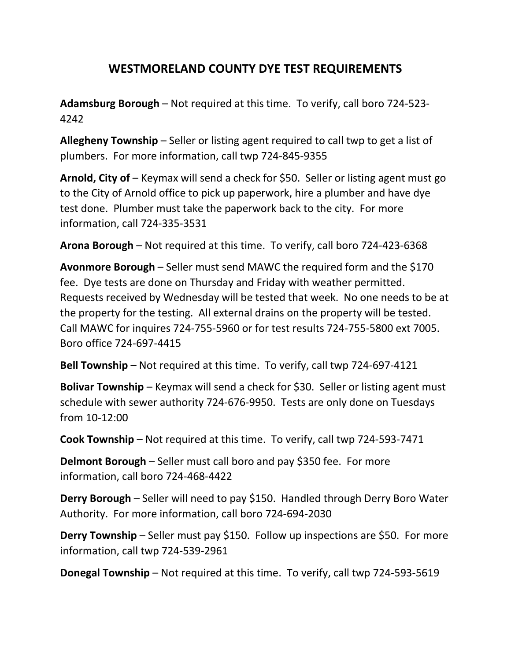## **WESTMORELAND COUNTY DYE TEST REQUIREMENTS**

**Adamsburg Borough** – Not required at this time. To verify, call boro 724-523- 4242

**Allegheny Township** – Seller or listing agent required to call twp to get a list of plumbers. For more information, call twp 724-845-9355

**Arnold, City of** – Keymax will send a check for \$50. Seller or listing agent must go to the City of Arnold office to pick up paperwork, hire a plumber and have dye test done. Plumber must take the paperwork back to the city. For more information, call 724-335-3531

**Arona Borough** – Not required at this time. To verify, call boro 724-423-6368

**Avonmore Borough** – Seller must send MAWC the required form and the \$170 fee. Dye tests are done on Thursday and Friday with weather permitted. Requests received by Wednesday will be tested that week. No one needs to be at the property for the testing. All external drains on the property will be tested. Call MAWC for inquires 724-755-5960 or for test results 724-755-5800 ext 7005. Boro office 724-697-4415

**Bell Township** – Not required at this time. To verify, call twp 724-697-4121

**Bolivar Township** – Keymax will send a check for \$30. Seller or listing agent must schedule with sewer authority 724-676-9950. Tests are only done on Tuesdays from 10-12:00

**Cook Township** – Not required at this time. To verify, call twp 724-593-7471

**Delmont Borough** – Seller must call boro and pay \$350 fee. For more information, call boro 724-468-4422

**Derry Borough** – Seller will need to pay \$150. Handled through Derry Boro Water Authority. For more information, call boro 724-694-2030

**Derry Township** – Seller must pay \$150. Follow up inspections are \$50. For more information, call twp 724-539-2961

**Donegal Township** – Not required at this time. To verify, call twp 724-593-5619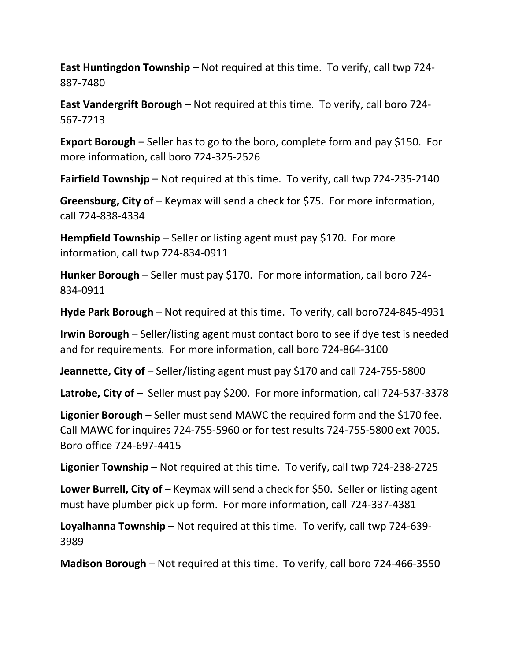**East Huntingdon Township** – Not required at this time. To verify, call twp 724- 887-7480

**East Vandergrift Borough** – Not required at this time. To verify, call boro 724- 567-7213

**Export Borough** – Seller has to go to the boro, complete form and pay \$150. For more information, call boro 724-325-2526

**Fairfield Townshjp** – Not required at this time. To verify, call twp 724-235-2140

**Greensburg, City of** – Keymax will send a check for \$75. For more information, call 724-838-4334

**Hempfield Township** – Seller or listing agent must pay \$170. For more information, call twp 724-834-0911

**Hunker Borough** – Seller must pay \$170. For more information, call boro 724- 834-0911

**Hyde Park Borough** – Not required at this time. To verify, call boro724-845-4931

**Irwin Borough** – Seller/listing agent must contact boro to see if dye test is needed and for requirements. For more information, call boro 724-864-3100

**Jeannette, City of** – Seller/listing agent must pay \$170 and call 724-755-5800

**Latrobe, City of** – Seller must pay \$200. For more information, call 724-537-3378

**Ligonier Borough** – Seller must send MAWC the required form and the \$170 fee. Call MAWC for inquires 724-755-5960 or for test results 724-755-5800 ext 7005. Boro office 724-697-4415

**Ligonier Township** – Not required at this time. To verify, call twp 724-238-2725

**Lower Burrell, City of** – Keymax will send a check for \$50. Seller or listing agent must have plumber pick up form. For more information, call 724-337-4381

**Loyalhanna Township** – Not required at this time. To verify, call twp 724-639- 3989

**Madison Borough** – Not required at this time. To verify, call boro 724-466-3550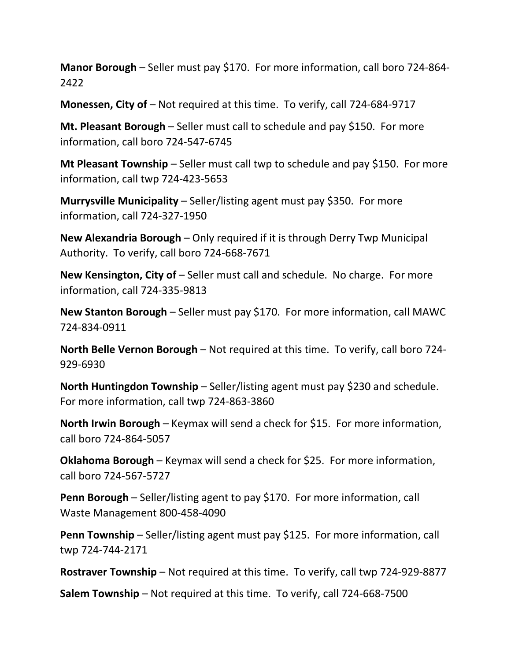**Manor Borough** – Seller must pay \$170. For more information, call boro 724-864- 2422

**Monessen, City of** – Not required at this time. To verify, call 724-684-9717

**Mt. Pleasant Borough** – Seller must call to schedule and pay \$150. For more information, call boro 724-547-6745

**Mt Pleasant Township** – Seller must call twp to schedule and pay \$150. For more information, call twp 724-423-5653

**Murrysville Municipality** – Seller/listing agent must pay \$350. For more information, call 724-327-1950

**New Alexandria Borough** – Only required if it is through Derry Twp Municipal Authority. To verify, call boro 724-668-7671

**New Kensington, City of** – Seller must call and schedule. No charge. For more information, call 724-335-9813

**New Stanton Borough** – Seller must pay \$170. For more information, call MAWC 724-834-0911

**North Belle Vernon Borough** – Not required at this time. To verify, call boro 724- 929-6930

**North Huntingdon Township** – Seller/listing agent must pay \$230 and schedule. For more information, call twp 724-863-3860

**North Irwin Borough** – Keymax will send a check for \$15. For more information, call boro 724-864-5057

**Oklahoma Borough** – Keymax will send a check for \$25. For more information, call boro 724-567-5727

**Penn Borough** – Seller/listing agent to pay \$170. For more information, call Waste Management 800-458-4090

**Penn Township** – Seller/listing agent must pay \$125. For more information, call twp 724-744-2171

**Rostraver Township** – Not required at this time. To verify, call twp 724-929-8877

**Salem Township** – Not required at this time. To verify, call 724-668-7500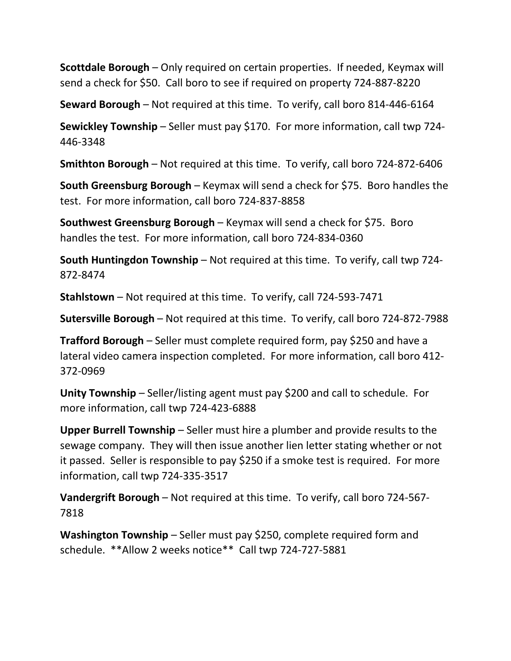**Scottdale Borough** – Only required on certain properties. If needed, Keymax will send a check for \$50. Call boro to see if required on property 724-887-8220

**Seward Borough** – Not required at this time. To verify, call boro 814-446-6164

**Sewickley Township** – Seller must pay \$170. For more information, call twp 724- 446-3348

**Smithton Borough** – Not required at this time. To verify, call boro 724-872-6406

**South Greensburg Borough** – Keymax will send a check for \$75. Boro handles the test. For more information, call boro 724-837-8858

**Southwest Greensburg Borough** – Keymax will send a check for \$75. Boro handles the test. For more information, call boro 724-834-0360

**South Huntingdon Township** – Not required at this time. To verify, call twp 724- 872-8474

**Stahlstown** – Not required at this time. To verify, call 724-593-7471

**Sutersville Borough** – Not required at this time. To verify, call boro 724-872-7988

**Trafford Borough** – Seller must complete required form, pay \$250 and have a lateral video camera inspection completed. For more information, call boro 412- 372-0969

**Unity Township** – Seller/listing agent must pay \$200 and call to schedule. For more information, call twp 724-423-6888

**Upper Burrell Township** – Seller must hire a plumber and provide results to the sewage company. They will then issue another lien letter stating whether or not it passed. Seller is responsible to pay \$250 if a smoke test is required. For more information, call twp 724-335-3517

**Vandergrift Borough** – Not required at this time. To verify, call boro 724-567- 7818

**Washington Township** – Seller must pay \$250, complete required form and schedule. \*\*Allow 2 weeks notice\*\* Call twp 724-727-5881